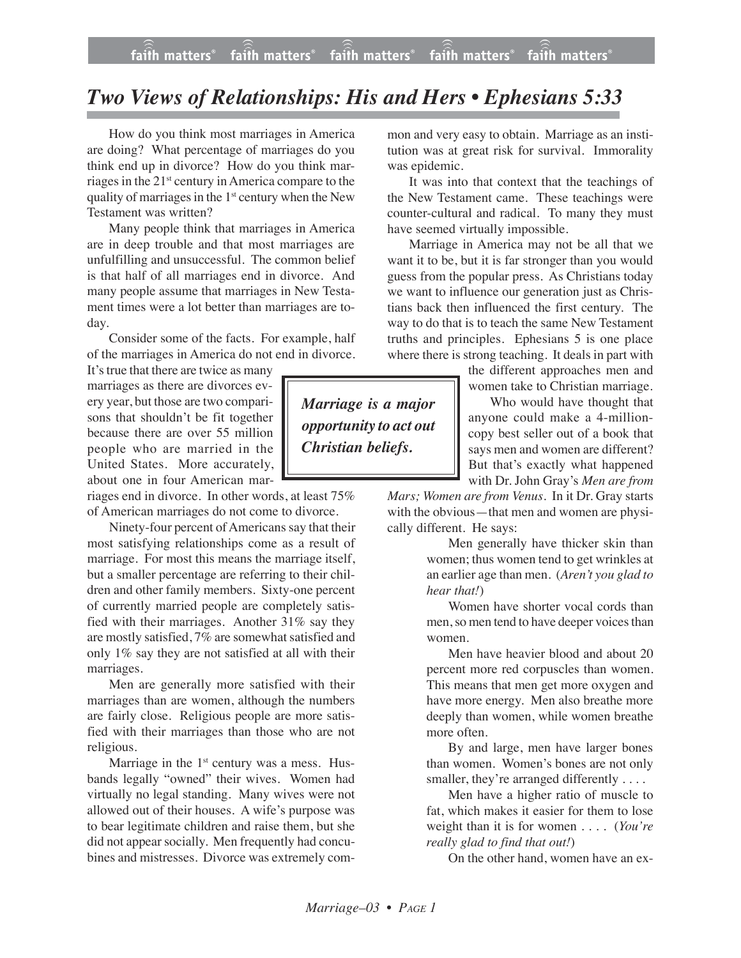## *Two Views of Relationships: His and Hers • Ephesians 5:33*

How do you think most marriages in America are doing? What percentage of marriages do you think end up in divorce? How do you think marriages in the 21st century in America compare to the quality of marriages in the  $1<sup>st</sup>$  century when the New Testament was written?

Many people think that marriages in America are in deep trouble and that most marriages are unfulfilling and unsuccessful. The common belief is that half of all marriages end in divorce. And many people assume that marriages in New Testament times were a lot better than marriages are today.

Consider some of the facts. For example, half of the marriages in America do not end in divorce.

It's true that there are twice as many marriages as there are divorces every year, but those are two comparisons that shouldn't be fit together because there are over 55 million people who are married in the United States. More accurately, about one in four American mar-

riages end in divorce. In other words, at least 75% of American marriages do not come to divorce.

Ninety-four percent of Americans say that their most satisfying relationships come as a result of marriage. For most this means the marriage itself, but a smaller percentage are referring to their children and other family members. Sixty-one percent of currently married people are completely satisfied with their marriages. Another 31% say they are mostly satisfied, 7% are somewhat satisfied and only 1% say they are not satisfied at all with their marriages.

Men are generally more satisfied with their marriages than are women, although the numbers are fairly close. Religious people are more satisfied with their marriages than those who are not religious.

Marriage in the  $1<sup>st</sup>$  century was a mess. Husbands legally "owned" their wives. Women had virtually no legal standing. Many wives were not allowed out of their houses. A wife's purpose was to bear legitimate children and raise them, but she did not appear socially. Men frequently had concubines and mistresses. Divorce was extremely common and very easy to obtain. Marriage as an institution was at great risk for survival. Immorality was epidemic.

It was into that context that the teachings of the New Testament came. These teachings were counter-cultural and radical. To many they must have seemed virtually impossible.

Marriage in America may not be all that we want it to be, but it is far stronger than you would guess from the popular press. As Christians today we want to influence our generation just as Christians back then influenced the first century. The way to do that is to teach the same New Testament truths and principles. Ephesians 5 is one place where there is strong teaching. It deals in part with

> the different approaches men and women take to Christian marriage.

Who would have thought that anyone could make a 4-millioncopy best seller out of a book that says men and women are different? But that's exactly what happened with Dr. John Gray's *Men are from*

*Mars; Women are from Venus*. In it Dr. Gray starts with the obvious—that men and women are physically different. He says:

> Men generally have thicker skin than women; thus women tend to get wrinkles at an earlier age than men. (*Aren't you glad to hear that!*)

> Women have shorter vocal cords than men, so men tend to have deeper voices than women.

> Men have heavier blood and about 20 percent more red corpuscles than women. This means that men get more oxygen and have more energy. Men also breathe more deeply than women, while women breathe more often.

> By and large, men have larger bones than women. Women's bones are not only smaller, they're arranged differently . . . .

> Men have a higher ratio of muscle to fat, which makes it easier for them to lose weight than it is for women . . . . (*You're really glad to find that out!*)

On the other hand, women have an ex-

*Marriage is a major opportunity to act out Christian beliefs.*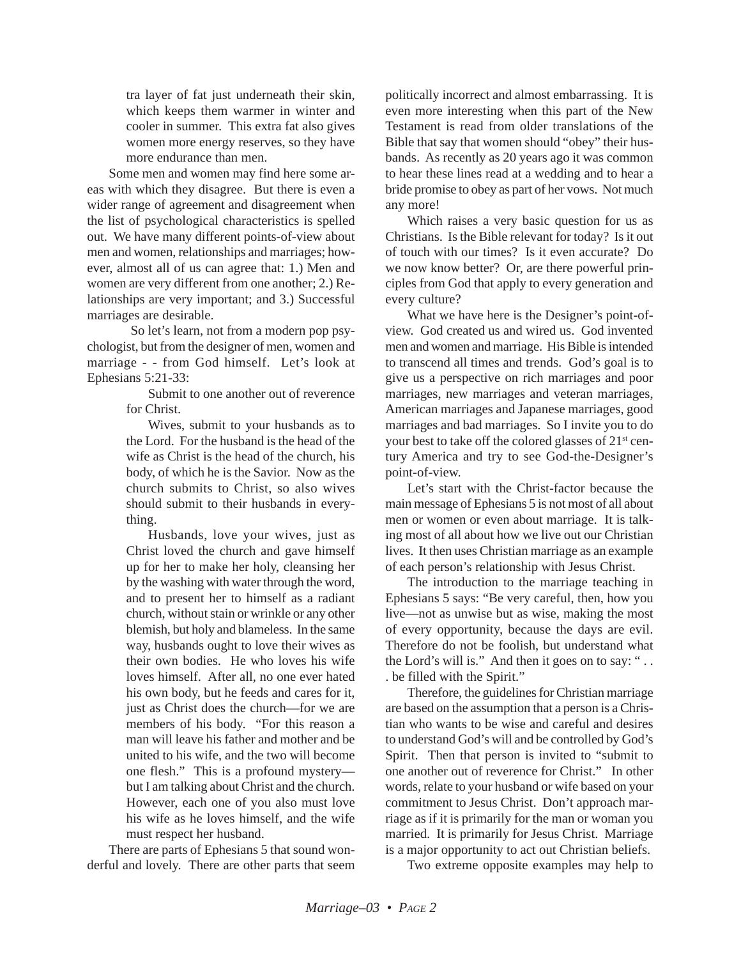tra layer of fat just underneath their skin, which keeps them warmer in winter and cooler in summer. This extra fat also gives women more energy reserves, so they have more endurance than men.

Some men and women may find here some areas with which they disagree. But there is even a wider range of agreement and disagreement when the list of psychological characteristics is spelled out. We have many different points-of-view about men and women, relationships and marriages; however, almost all of us can agree that: 1.) Men and women are very different from one another; 2.) Relationships are very important; and 3.) Successful marriages are desirable.

So let's learn, not from a modern pop psychologist, but from the designer of men, women and marriage - - from God himself. Let's look at Ephesians 5:21-33:

> Submit to one another out of reverence for Christ.

> Wives, submit to your husbands as to the Lord. For the husband is the head of the wife as Christ is the head of the church, his body, of which he is the Savior. Now as the church submits to Christ, so also wives should submit to their husbands in everything.

> Husbands, love your wives, just as Christ loved the church and gave himself up for her to make her holy, cleansing her by the washing with water through the word, and to present her to himself as a radiant church, without stain or wrinkle or any other blemish, but holy and blameless. In the same way, husbands ought to love their wives as their own bodies. He who loves his wife loves himself. After all, no one ever hated his own body, but he feeds and cares for it, just as Christ does the church—for we are members of his body. "For this reason a man will leave his father and mother and be united to his wife, and the two will become one flesh." This is a profound mystery but I am talking about Christ and the church. However, each one of you also must love his wife as he loves himself, and the wife must respect her husband.

There are parts of Ephesians 5 that sound wonderful and lovely. There are other parts that seem politically incorrect and almost embarrassing. It is even more interesting when this part of the New Testament is read from older translations of the Bible that say that women should "obey" their husbands. As recently as 20 years ago it was common to hear these lines read at a wedding and to hear a bride promise to obey as part of her vows. Not much any more!

Which raises a very basic question for us as Christians. Is the Bible relevant for today? Is it out of touch with our times? Is it even accurate? Do we now know better? Or, are there powerful principles from God that apply to every generation and every culture?

What we have here is the Designer's point-ofview. God created us and wired us. God invented men and women and marriage. His Bible is intended to transcend all times and trends. God's goal is to give us a perspective on rich marriages and poor marriages, new marriages and veteran marriages, American marriages and Japanese marriages, good marriages and bad marriages. So I invite you to do your best to take off the colored glasses of  $21<sup>st</sup>$  century America and try to see God-the-Designer's point-of-view.

Let's start with the Christ-factor because the main message of Ephesians 5 is not most of all about men or women or even about marriage. It is talking most of all about how we live out our Christian lives. It then uses Christian marriage as an example of each person's relationship with Jesus Christ.

The introduction to the marriage teaching in Ephesians 5 says: "Be very careful, then, how you live—not as unwise but as wise, making the most of every opportunity, because the days are evil. Therefore do not be foolish, but understand what the Lord's will is." And then it goes on to say: " . . . be filled with the Spirit."

Therefore, the guidelines for Christian marriage are based on the assumption that a person is a Christian who wants to be wise and careful and desires to understand God's will and be controlled by God's Spirit. Then that person is invited to "submit to one another out of reverence for Christ." In other words, relate to your husband or wife based on your commitment to Jesus Christ. Don't approach marriage as if it is primarily for the man or woman you married. It is primarily for Jesus Christ. Marriage is a major opportunity to act out Christian beliefs.

Two extreme opposite examples may help to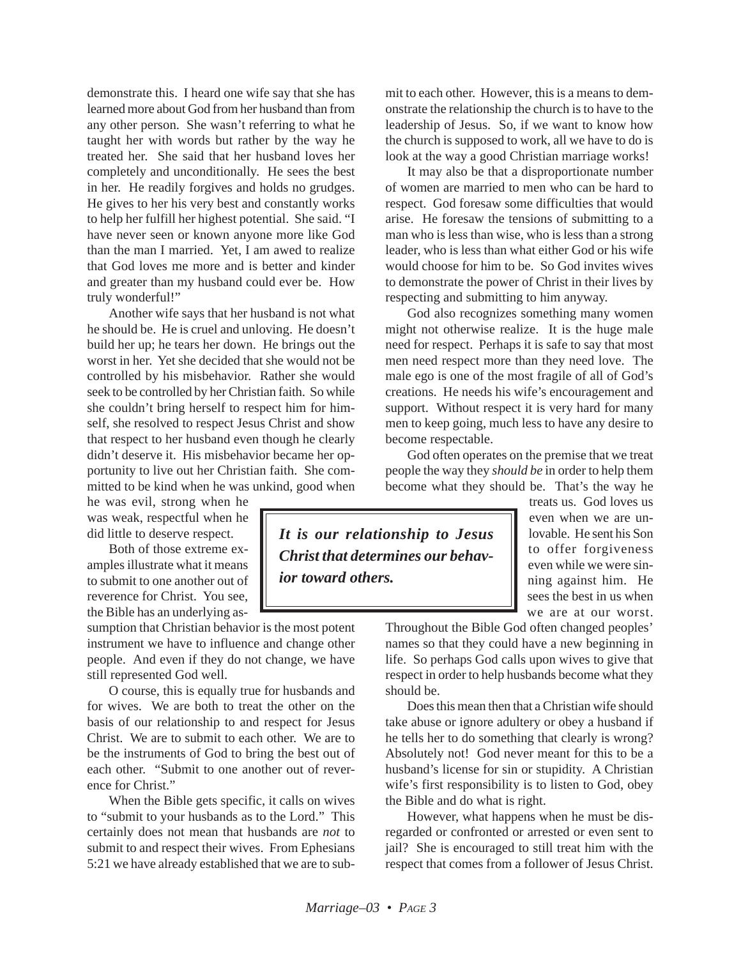demonstrate this. I heard one wife say that she has learned more about God from her husband than from any other person. She wasn't referring to what he taught her with words but rather by the way he treated her. She said that her husband loves her completely and unconditionally. He sees the best in her. He readily forgives and holds no grudges. He gives to her his very best and constantly works to help her fulfill her highest potential. She said. "I have never seen or known anyone more like God than the man I married. Yet, I am awed to realize that God loves me more and is better and kinder and greater than my husband could ever be. How truly wonderful!"

Another wife says that her husband is not what he should be. He is cruel and unloving. He doesn't build her up; he tears her down. He brings out the worst in her. Yet she decided that she would not be controlled by his misbehavior. Rather she would seek to be controlled by her Christian faith. So while she couldn't bring herself to respect him for himself, she resolved to respect Jesus Christ and show that respect to her husband even though he clearly didn't deserve it. His misbehavior became her opportunity to live out her Christian faith. She committed to be kind when he was unkind, good when

he was evil, strong when he was weak, respectful when he did little to deserve respect.

Both of those extreme examples illustrate what it means to submit to one another out of reverence for Christ. You see, the Bible has an underlying as-

sumption that Christian behavior is the most potent instrument we have to influence and change other people. And even if they do not change, we have still represented God well.

O course, this is equally true for husbands and for wives. We are both to treat the other on the basis of our relationship to and respect for Jesus Christ. We are to submit to each other. We are to be the instruments of God to bring the best out of each other. "Submit to one another out of reverence for Christ."

When the Bible gets specific, it calls on wives to "submit to your husbands as to the Lord." This certainly does not mean that husbands are *not* to submit to and respect their wives. From Ephesians 5:21 we have already established that we are to submit to each other. However, this is a means to demonstrate the relationship the church is to have to the leadership of Jesus. So, if we want to know how the church is supposed to work, all we have to do is look at the way a good Christian marriage works!

It may also be that a disproportionate number of women are married to men who can be hard to respect. God foresaw some difficulties that would arise. He foresaw the tensions of submitting to a man who is less than wise, who is less than a strong leader, who is less than what either God or his wife would choose for him to be. So God invites wives to demonstrate the power of Christ in their lives by respecting and submitting to him anyway.

God also recognizes something many women might not otherwise realize. It is the huge male need for respect. Perhaps it is safe to say that most men need respect more than they need love. The male ego is one of the most fragile of all of God's creations. He needs his wife's encouragement and support. Without respect it is very hard for many men to keep going, much less to have any desire to become respectable.

God often operates on the premise that we treat people the way they *should be* in order to help them become what they should be. That's the way he

*It is our relationship to Jesus Christ that determines our behavior toward others.*

treats us. God loves us even when we are unlovable. He sent his Son to offer forgiveness even while we were sinning against him. He sees the best in us when we are at our worst.

Throughout the Bible God often changed peoples' names so that they could have a new beginning in life. So perhaps God calls upon wives to give that respect in order to help husbands become what they should be.

Does this mean then that a Christian wife should take abuse or ignore adultery or obey a husband if he tells her to do something that clearly is wrong? Absolutely not! God never meant for this to be a husband's license for sin or stupidity. A Christian wife's first responsibility is to listen to God, obey the Bible and do what is right.

However, what happens when he must be disregarded or confronted or arrested or even sent to jail? She is encouraged to still treat him with the respect that comes from a follower of Jesus Christ.